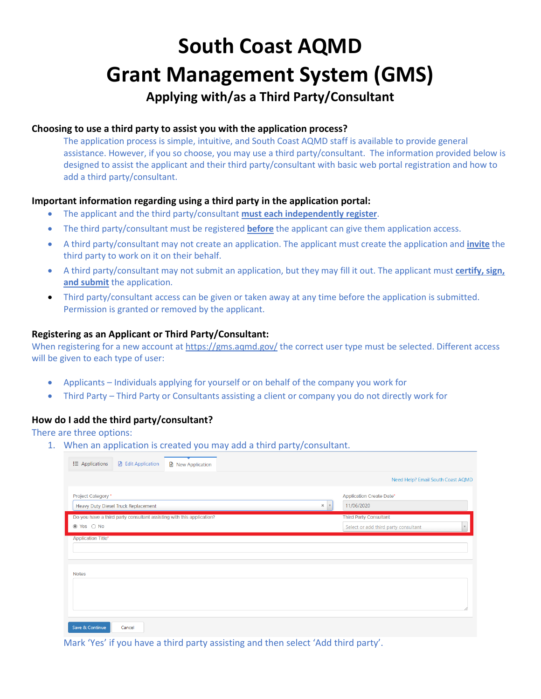# **South Coast AQMD Grant Management System (GMS)**

# **Applying with/as a Third Party/Consultant**

#### **Choosing to use a third party to assist you with the application process?**

The application process is simple, intuitive, and South Coast AQMD staff is available to provide general assistance. However, if you so choose, you may use a third party/consultant. The information provided below is designed to assist the applicant and their third party/consultant with basic web portal registration and how to add a third party/consultant.

#### **Important information regarding using a third party in the application portal:**

- The applicant and the third party/consultant **must each independently register**.
- The third party/consultant must be registered **before** the applicant can give them application access.
- A third party/consultant may not create an application. The applicant must create the application and **invite** the third party to work on it on their behalf.
- A third party/consultant may not submit an application, but they may fill it out. The applicant must **certify, sign, and submit** the application.
- Third party/consultant access can be given or taken away at any time before the application is submitted. Permission is granted or removed by the applicant.

#### **Registering as an Applicant or Third Party/Consultant:**

When registering for a new account at https://gms.aqmd.gov/ the correct user type must be selected. Different access will be given to each type of user:

- Applicants Individuals applying for yourself or on behalf of the company you work for
- Third Party Third Party or Consultants assisting a client or company you do not directly work for

### **How do I add the third party/consultant?**

There are three options:

1. When an application is created you may add a third party/consultant.

| $\equiv$ Applications     | <b>B</b> Edit Application                  | <b>■</b> New Application                                              |                   |                                                                       |  |
|---------------------------|--------------------------------------------|-----------------------------------------------------------------------|-------------------|-----------------------------------------------------------------------|--|
|                           |                                            |                                                                       |                   | Need Help? Email South Coast AQMD                                     |  |
| Project Category *        | <b>Heavy Duty Diesel Truck Replacement</b> |                                                                       | ×<br>$\mathbf{v}$ | <b>Application Create Date*</b><br>11/06/2020                         |  |
| ◉ Yes ○ No                |                                            | Do you have a third party consultant assisting with this application? |                   | <b>Third Party Consultant</b><br>Select or add third party consultant |  |
| <b>Application Title*</b> |                                            |                                                                       |                   |                                                                       |  |
| <b>Notes</b>              |                                            |                                                                       |                   |                                                                       |  |
|                           |                                            |                                                                       |                   |                                                                       |  |
| Save & Continue           | Cancel                                     |                                                                       |                   |                                                                       |  |

Mark 'Yes' if you have a third party assisting and then select 'Add third party'.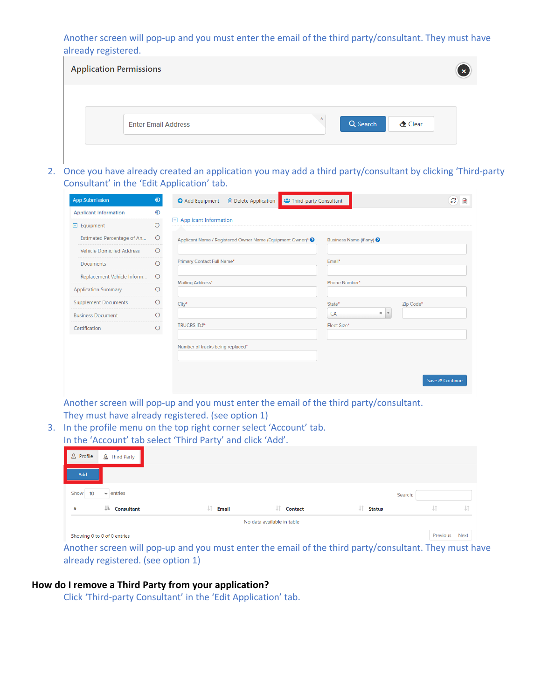Another screen will pop-up and you must enter the email of the third party/consultant. They must have already registered.

| <b>Application Permissions</b> |                            |                     |          |       | $\mathbf{x}$ |
|--------------------------------|----------------------------|---------------------|----------|-------|--------------|
|                                | <b>Enter Email Address</b> | $\color{red} \star$ | Q Search | Clear |              |

2. Once you have already created an application you may add a third party/consultant by clicking 'Third-party Consultant' in the 'Edit Application' tab.

| <b>App Submission</b>            | $\odot$  | <b>O</b> Add Equipment<br><b>m</b> Delete Application       | <b>23 Third-party Consultant</b> |                                     |                 |  |
|----------------------------------|----------|-------------------------------------------------------------|----------------------------------|-------------------------------------|-----------------|--|
| <b>Applicant Information</b>     | $\odot$  |                                                             |                                  |                                     |                 |  |
| $\Box$ Equipment                 | $\circ$  | <b>Applicant Information</b><br>Θ                           |                                  |                                     |                 |  |
| Estimated Percentage of An       | $\circ$  | Applicant Name / Registered Owner Name (Equipment Owner)* ● |                                  | Business Name (if any) <sup>?</sup> |                 |  |
| <b>Vehicle Domiciled Address</b> | O        |                                                             |                                  |                                     |                 |  |
| <b>Documents</b>                 | $\circ$  | Primary Contact Full Name*                                  | Email*                           |                                     |                 |  |
| Replacement Vehicle Inform       | $\circ$  | Mailing Address*                                            |                                  | Phone Number*                       |                 |  |
| <b>Application Summary</b>       | O        |                                                             |                                  |                                     |                 |  |
| <b>Supplement Documents</b>      | O        | City*                                                       | State*                           | Zip Code*                           |                 |  |
| <b>Business Document</b>         | Ω        |                                                             | CA                               | ×<br>$\mathbf{v}$                   |                 |  |
| Certification                    | $\Omega$ | <b>TRUCRS ID#*</b>                                          | Fleet Size*                      |                                     |                 |  |
|                                  |          | Number of trucks being replaced*                            |                                  |                                     | Save & Continue |  |

Another screen will pop-up and you must enter the email of the third party/consultant. They must have already registered. (see option 1)

3. In the profile menu on the top right corner select 'Account' tab. In the 'Account' tab select 'Third Party' and click 'Add'.

|                                           |                     |                            |                      | Previous | <b>Next</b> |
|-------------------------------------------|---------------------|----------------------------|----------------------|----------|-------------|
|                                           |                     | No data available in table |                      |          |             |
| Jà.<br><b>Consultant</b><br>#             | Jî.<br><b>Email</b> | JT.<br><b>Contact</b>      | IJ.<br><b>Status</b> | ΨÎ       | υî          |
| Show<br>$\vee$ entries<br>10 <sup>°</sup> |                     |                            | Search:              |          |             |
| Add                                       |                     |                            |                      |          |             |
| & Profile<br>2 Third Party                |                     |                            |                      |          |             |

Another screen will pop-up and you must enter the email of the third party/consultant. They must have already registered. (see option 1)

#### **How do I remove a Third Party from your application?**

Click 'Third-party Consultant' in the 'Edit Application' tab.